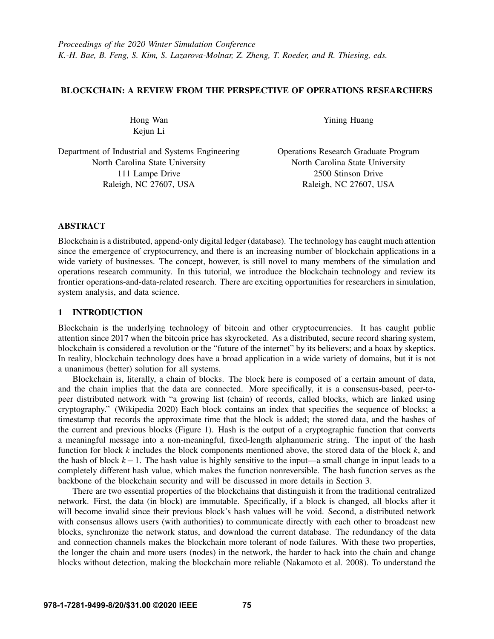# BLOCKCHAIN: A REVIEW FROM THE PERSPECTIVE OF OPERATIONS RESEARCHERS

Hong Wan Kejun Li

Department of Industrial and Systems Engineering North Carolina State University 111 Lampe Drive Raleigh, NC 27607, USA

Yining Huang

Operations Research Graduate Program North Carolina State University 2500 Stinson Drive Raleigh, NC 27607, USA

# ABSTRACT

Blockchain is a distributed, append-only digital ledger (database). The technology has caught much attention since the emergence of cryptocurrency, and there is an increasing number of blockchain applications in a wide variety of businesses. The concept, however, is still novel to many members of the simulation and operations research community. In this tutorial, we introduce the blockchain technology and review its frontier operations-and-data-related research. There are exciting opportunities for researchers in simulation, system analysis, and data science.

# 1 INTRODUCTION

Blockchain is the underlying technology of bitcoin and other cryptocurrencies. It has caught public attention since 2017 when the bitcoin price has skyrocketed. As a distributed, secure record sharing system, blockchain is considered a revolution or the "future of the internet" by its believers; and a hoax by skeptics. In reality, blockchain technology does have a broad application in a wide variety of domains, but it is not a unanimous (better) solution for all systems.

Blockchain is, literally, a chain of blocks. The block here is composed of a certain amount of data, and the chain implies that the data are connected. More specifically, it is a consensus-based, peer-topeer distributed network with "a growing list (chain) of records, called blocks, which are linked using cryptography." [\(Wikipedia 2020\)](#page-14-0) Each block contains an index that specifies the sequence of blocks; a timestamp that records the approximate time that the block is added; the stored data, and the hashes of the current and previous blocks (Figure [1\)](#page-1-0). Hash is the output of a cryptographic function that converts a meaningful message into a non-meaningful, fixed-length alphanumeric string. The input of the hash function for block *k* includes the block components mentioned above, the stored data of the block *k*, and the hash of block *k*−1. The hash value is highly sensitive to the input—a small change in input leads to a completely different hash value, which makes the function nonreversible. The hash function serves as the backbone of the blockchain security and will be discussed in more details in Section [3.](#page-3-0)

There are two essential properties of the blockchains that distinguish it from the traditional centralized network. First, the data (in block) are immutable. Specifically, if a block is changed, all blocks after it will become invalid since their previous block's hash values will be void. Second, a distributed network with consensus allows users (with authorities) to communicate directly with each other to broadcast new blocks, synchronize the network status, and download the current database. The redundancy of the data and connection channels makes the blockchain more tolerant of node failures. With these two properties, the longer the chain and more users (nodes) in the network, the harder to hack into the chain and change blocks without detection, making the blockchain more reliable [\(Nakamoto et al. 2008\)](#page-13-0). To understand the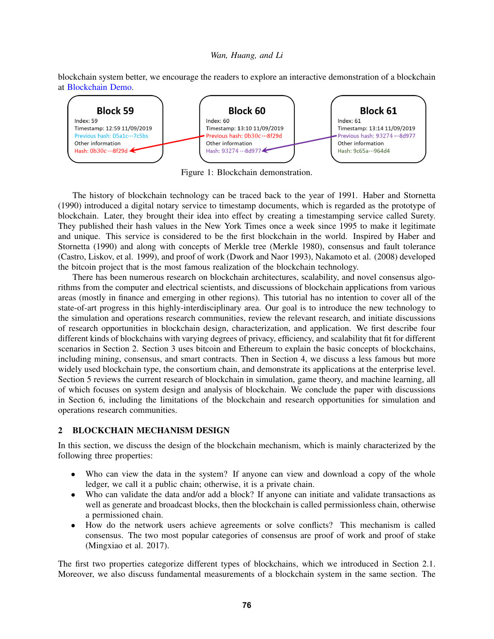blockchain system better, we encourage the readers to explore an interactive demonstration of a blockchain at [Blockchain Demo.](https://blockchaindemo.io)

<span id="page-1-0"></span>

Figure 1: Blockchain demonstration.

The history of blockchain technology can be traced back to the year of 1991. [Haber and Stornetta](#page-12-0) [\(1990\)](#page-12-0) introduced a digital notary service to timestamp documents, which is regarded as the prototype of blockchain. Later, they brought their idea into effect by creating a timestamping service called Surety. They published their hash values in the New York Times once a week since 1995 to make it legitimate and unique. This service is considered to be the first blockchain in the world. Inspired by [Haber and](#page-12-0) [Stornetta \(1990\)](#page-12-0) and along with concepts of Merkle tree [\(Merkle 1980\)](#page-13-1), consensus and fault tolerance [\(Castro, Liskov, et al. 1999\)](#page-11-0), and proof of work [\(Dwork and Naor 1993\)](#page-11-1), [Nakamoto et al. \(2008\)](#page-13-0) developed the bitcoin project that is the most famous realization of the blockchain technology.

There has been numerous research on blockchain architectures, scalability, and novel consensus algorithms from the computer and electrical scientists, and discussions of blockchain applications from various areas (mostly in finance and emerging in other regions). This tutorial has no intention to cover all of the state-of-art progress in this highly-interdisciplinary area. Our goal is to introduce the new technology to the simulation and operations research communities, review the relevant research, and initiate discussions of research opportunities in blockchain design, characterization, and application. We first describe four different kinds of blockchains with varying degrees of privacy, efficiency, and scalability that fit for different scenarios in Section [2.](#page-1-1) Section [3](#page-3-0) uses bitcoin and Ethereum to explain the basic concepts of blockchains, including mining, consensus, and smart contracts. Then in Section [4,](#page-5-0) we discuss a less famous but more widely used blockchain type, the consortium chain, and demonstrate its applications at the enterprise level. Section [5](#page-6-0) reviews the current research of blockchain in simulation, game theory, and machine learning, all of which focuses on system design and analysis of blockchain. We conclude the paper with discussions in Section [6,](#page-10-0) including the limitations of the blockchain and research opportunities for simulation and operations research communities.

# <span id="page-1-1"></span>2 BLOCKCHAIN MECHANISM DESIGN

In this section, we discuss the design of the blockchain mechanism, which is mainly characterized by the following three properties:

- Who can view the data in the system? If anyone can view and download a copy of the whole ledger, we call it a public chain; otherwise, it is a private chain.
- Who can validate the data and/or add a block? If anyone can initiate and validate transactions as well as generate and broadcast blocks, then the blockchain is called permissionless chain, otherwise a permissioned chain.
- How do the network users achieve agreements or solve conflicts? This mechanism is called consensus. The two most popular categories of consensus are proof of work and proof of stake [\(Mingxiao et al. 2017\)](#page-13-2).

The first two properties categorize different types of blockchains, which we introduced in Section [2.1.](#page-2-0) Moreover, we also discuss fundamental measurements of a blockchain system in the same section. The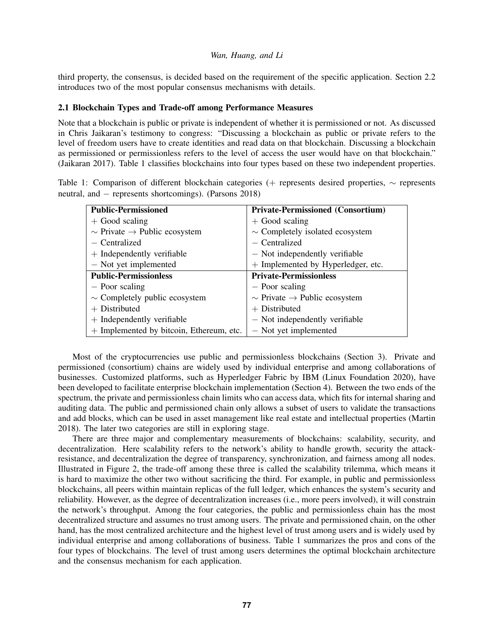third property, the consensus, is decided based on the requirement of the specific application. Section [2.2](#page-3-1) introduces two of the most popular consensus mechanisms with details.

## <span id="page-2-0"></span>2.1 Blockchain Types and Trade-off among Performance Measures

Note that a blockchain is public or private is independent of whether it is permissioned or not. As discussed in Chris Jaikaran's testimony to congress: "Discussing a blockchain as public or private refers to the level of freedom users have to create identities and read data on that blockchain. Discussing a blockchain as permissioned or permissionless refers to the level of access the user would have on that blockchain." [\(Jaikaran 2017\)](#page-12-1). Table [1](#page-2-1) classifies blockchains into four types based on these two independent properties.

<span id="page-2-1"></span>Table 1: Comparison of different blockchain categories (+ represents desired properties, ∼ represents neutral, and − represents shortcomings). [\(Parsons 2018\)](#page-13-3)

| <b>Public-Permissioned</b>                    | <b>Private-Permissioned (Consortium)</b>      |
|-----------------------------------------------|-----------------------------------------------|
| $+$ Good scaling                              | $+$ Good scaling                              |
| $\sim$ Private $\rightarrow$ Public ecosystem | $\sim$ Completely isolated ecosystem          |
| - Centralized                                 | - Centralized                                 |
| $+$ Independently verifiable                  | - Not independently verifiable                |
| - Not yet implemented                         | + Implemented by Hyperledger, etc.            |
| <b>Public-Permissionless</b>                  | <b>Private-Permissionless</b>                 |
| - Poor scaling                                | - Poor scaling                                |
| $\sim$ Completely public ecosystem            | $\sim$ Private $\rightarrow$ Public ecosystem |
| $+$ Distributed                               | $+$ Distributed                               |
| $+$ Independently verifiable                  | - Not independently verifiable                |
| $+$ Implemented by bitcoin, Ethereum, etc.    | - Not yet implemented                         |

Most of the cryptocurrencies use public and permissionless blockchains (Section [3\)](#page-3-0). Private and permissioned (consortium) chains are widely used by individual enterprise and among collaborations of businesses. Customized platforms, such as Hyperledger Fabric by IBM [\(Linux Foundation 2020\)](#page-13-4), have been developed to facilitate enterprise blockchain implementation (Section [4\)](#page-5-0). Between the two ends of the spectrum, the private and permissionless chain limits who can access data, which fits for internal sharing and auditing data. The public and permissioned chain only allows a subset of users to validate the transactions and add blocks, which can be used in asset management like real estate and intellectual properties [\(Martin](#page-13-5) [2018\)](#page-13-5). The later two categories are still in exploring stage.

There are three major and complementary measurements of blockchains: scalability, security, and decentralization. Here scalability refers to the network's ability to handle growth, security the attackresistance, and decentralization the degree of transparency, synchronization, and fairness among all nodes. Illustrated in Figure [2,](#page-3-2) the trade-off among these three is called the scalability trilemma, which means it is hard to maximize the other two without sacrificing the third. For example, in public and permissionless blockchains, all peers within maintain replicas of the full ledger, which enhances the system's security and reliability. However, as the degree of decentralization increases (i.e., more peers involved), it will constrain the network's throughput. Among the four categories, the public and permissionless chain has the most decentralized structure and assumes no trust among users. The private and permissioned chain, on the other hand, has the most centralized architecture and the highest level of trust among users and is widely used by individual enterprise and among collaborations of business. Table 1 summarizes the pros and cons of the four types of blockchains. The level of trust among users determines the optimal blockchain architecture and the consensus mechanism for each application.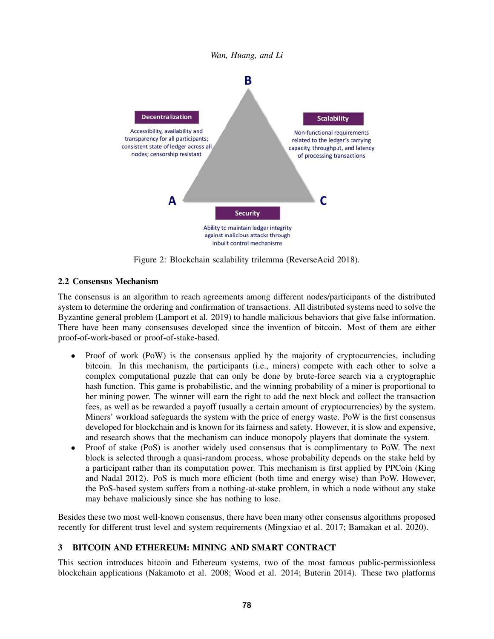<span id="page-3-2"></span>

Figure 2: Blockchain scalability trilemma [\(ReverseAcid 2018\)](#page-13-6).

# <span id="page-3-1"></span>2.2 Consensus Mechanism

The consensus is an algorithm to reach agreements among different nodes/participants of the distributed system to determine the ordering and confirmation of transactions. All distributed systems need to solve the Byzantine general problem [\(Lamport et al. 2019\)](#page-12-2) to handle malicious behaviors that give false information. There have been many consensuses developed since the invention of bitcoin. Most of them are either proof-of-work-based or proof-of-stake-based.

- Proof of work (PoW) is the consensus applied by the majority of cryptocurrencies, including bitcoin. In this mechanism, the participants (i.e., miners) compete with each other to solve a complex computational puzzle that can only be done by brute-force search via a cryptographic hash function. This game is probabilistic, and the winning probability of a miner is proportional to her mining power. The winner will earn the right to add the next block and collect the transaction fees, as well as be rewarded a payoff (usually a certain amount of cryptocurrencies) by the system. Miners' workload safeguards the system with the price of energy waste. PoW is the first consensus developed for blockchain and is known for its fairness and safety. However, it is slow and expensive, and research shows that the mechanism can induce monopoly players that dominate the system.
- Proof of stake (PoS) is another widely used consensus that is complimentary to PoW. The next block is selected through a quasi-random process, whose probability depends on the stake held by a participant rather than its computation power. This mechanism is first applied by PPCoin [\(King](#page-12-3) [and Nadal 2012\)](#page-12-3). PoS is much more efficient (both time and energy wise) than PoW. However, the PoS-based system suffers from a nothing-at-stake problem, in which a node without any stake may behave maliciously since she has nothing to lose.

Besides these two most well-known consensus, there have been many other consensus algorithms proposed recently for different trust level and system requirements [\(Mingxiao et al. 2017;](#page-13-2) [Bamakan et al. 2020\)](#page-11-2).

# <span id="page-3-0"></span>3 BITCOIN AND ETHEREUM: MINING AND SMART CONTRACT

This section introduces bitcoin and Ethereum systems, two of the most famous public-permissionless blockchain applications [\(Nakamoto et al. 2008;](#page-13-0) [Wood et al. 2014;](#page-14-1) [Buterin 2014\)](#page-11-3). These two platforms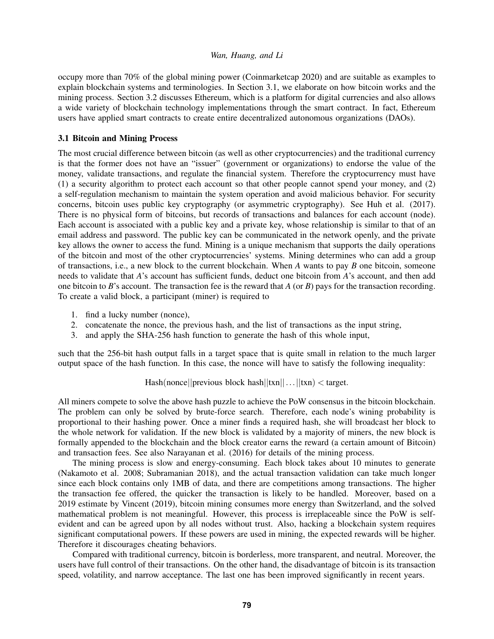occupy more than 70% of the global mining power [\(Coinmarketcap 2020\)](#page-11-4) and are suitable as examples to explain blockchain systems and terminologies. In Section [3.1,](#page-4-0) we elaborate on how bitcoin works and the mining process. Section [3.2](#page-5-1) discusses Ethereum, which is a platform for digital currencies and also allows a wide variety of blockchain technology implementations through the smart contract. In fact, Ethereum users have applied smart contracts to create entire decentralized autonomous organizations (DAOs).

## <span id="page-4-0"></span>3.1 Bitcoin and Mining Process

The most crucial difference between bitcoin (as well as other cryptocurrencies) and the traditional currency is that the former does not have an "issuer" (government or organizations) to endorse the value of the money, validate transactions, and regulate the financial system. Therefore the cryptocurrency must have (1) a security algorithm to protect each account so that other people cannot spend your money, and (2) a self-regulation mechanism to maintain the system operation and avoid malicious behavior. For security concerns, bitcoin uses public key cryptography (or asymmetric cryptography). See [Huh et al. \(2017\).](#page-12-4) There is no physical form of bitcoins, but records of transactions and balances for each account (node). Each account is associated with a public key and a private key, whose relationship is similar to that of an email address and password. The public key can be communicated in the network openly, and the private key allows the owner to access the fund. Mining is a unique mechanism that supports the daily operations of the bitcoin and most of the other cryptocurrencies' systems. Mining determines who can add a group of transactions, i.e., a new block to the current blockchain. When *A* wants to pay *B* one bitcoin, someone needs to validate that *A*'s account has sufficient funds, deduct one bitcoin from *A*'s account, and then add one bitcoin to *B*'s account. The transaction fee is the reward that *A* (or *B*) pays for the transaction recording. To create a valid block, a participant (miner) is required to

- 1. find a lucky number (nonce),
- 2. concatenate the nonce, the previous hash, and the list of transactions as the input string,
- 3. and apply the SHA-256 hash function to generate the hash of this whole input,

such that the 256-bit hash output falls in a target space that is quite small in relation to the much larger output space of the hash function. In this case, the nonce will have to satisfy the following inequality:

# Hash(nonce||previous block hash||txn||...||txn) < target.

All miners compete to solve the above hash puzzle to achieve the PoW consensus in the bitcoin blockchain. The problem can only be solved by brute-force search. Therefore, each node's wining probability is proportional to their hashing power. Once a miner finds a required hash, she will broadcast her block to the whole network for validation. If the new block is validated by a majority of miners, the new block is formally appended to the blockchain and the block creator earns the reward (a certain amount of Bitcoin) and transaction fees. See also [Narayanan et al. \(2016\)](#page-13-7) for details of the mining process.

The mining process is slow and energy-consuming. Each block takes about 10 minutes to generate [\(Nakamoto et al. 2008;](#page-13-0) [Subramanian 2018\)](#page-13-8), and the actual transaction validation can take much longer since each block contains only 1MB of data, and there are competitions among transactions. The higher the transaction fee offered, the quicker the transaction is likely to be handled. Moreover, based on a 2019 estimate by [Vincent \(2019\),](#page-14-2) bitcoin mining consumes more energy than Switzerland, and the solved mathematical problem is not meaningful. However, this process is irreplaceable since the PoW is selfevident and can be agreed upon by all nodes without trust. Also, hacking a blockchain system requires significant computational powers. If these powers are used in mining, the expected rewards will be higher. Therefore it discourages cheating behaviors.

Compared with traditional currency, bitcoin is borderless, more transparent, and neutral. Moreover, the users have full control of their transactions. On the other hand, the disadvantage of bitcoin is its transaction speed, volatility, and narrow acceptance. The last one has been improved significantly in recent years.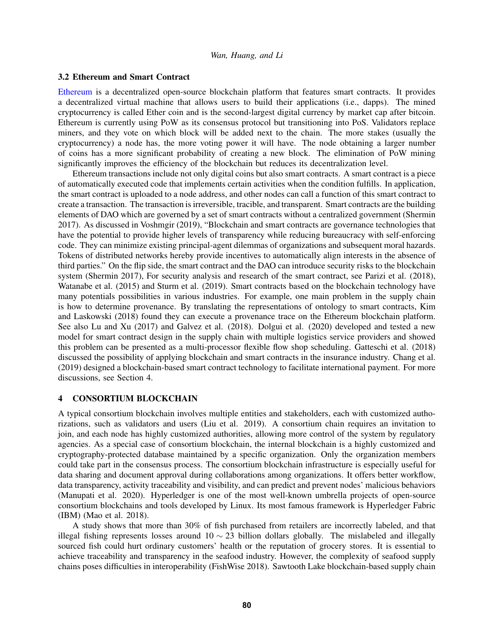### <span id="page-5-1"></span>3.2 Ethereum and Smart Contract

[Ethereum](https://ethereum.org/en/) is a decentralized open-source blockchain platform that features smart contracts. It provides a decentralized virtual machine that allows users to build their applications (i.e., dapps). The mined cryptocurrency is called Ether coin and is the second-largest digital currency by market cap after bitcoin. Ethereum is currently using PoW as its consensus protocol but transitioning into PoS. Validators replace miners, and they vote on which block will be added next to the chain. The more stakes (usually the cryptocurrency) a node has, the more voting power it will have. The node obtaining a larger number of coins has a more significant probability of creating a new block. The elimination of PoW mining significantly improves the efficiency of the blockchain but reduces its decentralization level.

Ethereum transactions include not only digital coins but also smart contracts. A smart contract is a piece of automatically executed code that implements certain activities when the condition fulfills. In application, the smart contract is uploaded to a node address, and other nodes can call a function of this smart contract to create a transaction. The transaction is irreversible, tracible, and transparent. Smart contracts are the building elements of DAO which are governed by a set of smart contracts without a centralized government [\(Shermin](#page-13-9) [2017\)](#page-13-9). As discussed in [Voshmgir \(2019\),](#page-14-3) "Blockchain and smart contracts are governance technologies that have the potential to provide higher levels of transparency while reducing bureaucracy with self-enforcing code. They can minimize existing principal-agent dilemmas of organizations and subsequent moral hazards. Tokens of distributed networks hereby provide incentives to automatically align interests in the absence of third parties." On the flip side, the smart contract and the DAO can introduce security risks to the blockchain system [\(Shermin 2017\)](#page-13-9), For security analysis and research of the smart contract, see [Parizi et al. \(2018\),](#page-13-10) [Watanabe et al. \(2015\)](#page-14-4) and [Sturm et al. \(2019\).](#page-13-11) Smart contracts based on the blockchain technology have many potentials possibilities in various industries. For example, one main problem in the supply chain is how to determine provenance. By translating the representations of ontology to smart contracts, [Kim](#page-12-5) [and Laskowski \(2018\)](#page-12-5) found they can execute a provenance trace on the Ethereum blockchain platform. See also [Lu and Xu \(2017\)](#page-13-12) and [Galvez et al. \(2018\).](#page-12-6) [Dolgui et al. \(2020\)](#page-11-5) developed and tested a new model for smart contract design in the supply chain with multiple logistics service providers and showed this problem can be presented as a multi-processor flexible flow shop scheduling. [Gatteschi et al. \(2018\)](#page-12-7) discussed the possibility of applying blockchain and smart contracts in the insurance industry. [Chang et al.](#page-11-6) [\(2019\)](#page-11-6) designed a blockchain-based smart contract technology to facilitate international payment. For more discussions, see Section [4.](#page-5-0)

### <span id="page-5-0"></span>4 CONSORTIUM BLOCKCHAIN

A typical consortium blockchain involves multiple entities and stakeholders, each with customized authorizations, such as validators and users [\(Liu et al. 2019\)](#page-13-13). A consortium chain requires an invitation to join, and each node has highly customized authorities, allowing more control of the system by regulatory agencies. As a special case of consortium blockchain, the internal blockchain is a highly customized and cryptography-protected database maintained by a specific organization. Only the organization members could take part in the consensus process. The consortium blockchain infrastructure is especially useful for data sharing and document approval during collaborations among organizations. It offers better workflow, data transparency, activity traceability and visibility, and can predict and prevent nodes' malicious behaviors [\(Manupati et al. 2020\)](#page-13-14). Hyperledger is one of the most well-known umbrella projects of open-source consortium blockchains and tools developed by Linux. Its most famous framework is Hyperledger Fabric (IBM) [\(Mao et al. 2018\)](#page-13-15).

A study shows that more than 30% of fish purchased from retailers are incorrectly labeled, and that illegal fishing represents losses around  $10 \sim 23$  billion dollars globally. The mislabeled and illegally sourced fish could hurt ordinary customers' health or the reputation of grocery stores. It is essential to achieve traceability and transparency in the seafood industry. However, the complexity of seafood supply chains poses difficulties in interoperability [\(FishWise 2018\)](#page-11-7). Sawtooth Lake blockchain-based supply chain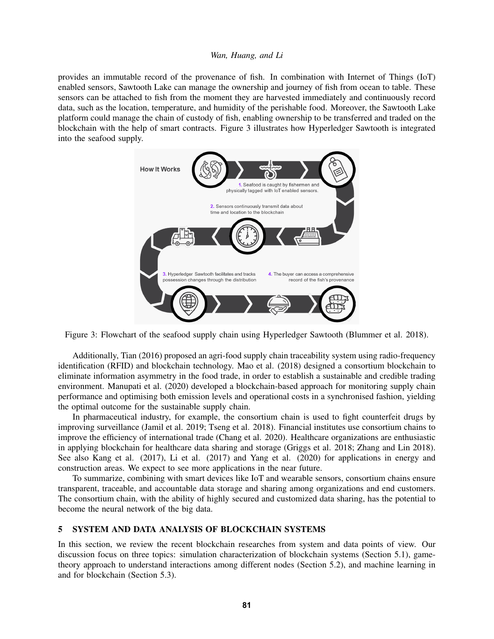<span id="page-6-1"></span>provides an immutable record of the provenance of fish. In combination with Internet of Things (IoT) enabled sensors, Sawtooth Lake can manage the ownership and journey of fish from ocean to table. These sensors can be attached to fish from the moment they are harvested immediately and continuously record data, such as the location, temperature, and humidity of the perishable food. Moreover, the Sawtooth Lake platform could manage the chain of custody of fish, enabling ownership to be transferred and traded on the blockchain with the help of smart contracts. Figure [3](#page-6-1) illustrates how Hyperledger Sawtooth is integrated into the seafood supply.



Figure 3: Flowchart of the seafood supply chain using Hyperledger Sawtooth [\(Blummer et al. 2018\)](#page-11-8).

Additionally, Tian (2016) proposed an agri-food supply chain traceability system using radio-frequency identification (RFID) and blockchain technology. Mao et al. (2018) designed a consortium blockchain to eliminate information asymmetry in the food trade, in order to establish a sustainable and credible trading environment. Manupati et al. (2020) developed a blockchain-based approach for monitoring supply chain performance and optimising both emission levels and operational costs in a synchronised fashion, yielding the optimal outcome for the sustainable supply chain.

In pharmaceutical industry, for example, the consortium chain is used to fight counterfeit drugs by improving surveillance [\(Jamil et al. 2019;](#page-12-8) [Tseng et al. 2018\)](#page-14-5). Financial institutes use consortium chains to improve the efficiency of international trade [\(Chang et al. 2020\)](#page-11-9). Healthcare organizations are enthusiastic in applying blockchain for healthcare data sharing and storage [\(Griggs et al. 2018;](#page-12-9) [Zhang and Lin 2018\)](#page-14-6). See also [Kang et al. \(2017\),](#page-12-10) [Li et al. \(2017\)](#page-12-11) and [Yang et al. \(2020\)](#page-14-7) for applications in energy and construction areas. We expect to see more applications in the near future.

To summarize, combining with smart devices like IoT and wearable sensors, consortium chains ensure transparent, traceable, and accountable data storage and sharing among organizations and end customers. The consortium chain, with the ability of highly secured and customized data sharing, has the potential to become the neural network of the big data.

## <span id="page-6-0"></span>5 SYSTEM AND DATA ANALYSIS OF BLOCKCHAIN SYSTEMS

In this section, we review the recent blockchain researches from system and data points of view. Our discussion focus on three topics: simulation characterization of blockchain systems (Section [5.1\)](#page-7-0), gametheory approach to understand interactions among different nodes (Section [5.2\)](#page-8-0), and machine learning in and for blockchain (Section [5.3\)](#page-9-0).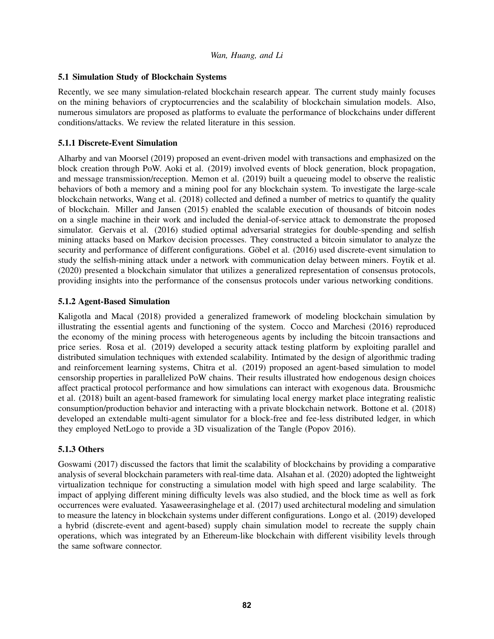# <span id="page-7-0"></span>5.1 Simulation Study of Blockchain Systems

Recently, we see many simulation-related blockchain research appear. The current study mainly focuses on the mining behaviors of cryptocurrencies and the scalability of blockchain simulation models. Also, numerous simulators are proposed as platforms to evaluate the performance of blockchains under different conditions/attacks. We review the related literature in this session.

# 5.1.1 Discrete-Event Simulation

[Alharby and van Moorsel \(2019\)](#page-10-1) proposed an event-driven model with transactions and emphasized on the block creation through PoW. [Aoki et al. \(2019\)](#page-11-10) involved events of block generation, block propagation, and message transmission/reception. [Memon et al. \(2019\)](#page-13-16) built a queueing model to observe the realistic behaviors of both a memory and a mining pool for any blockchain system. To investigate the large-scale blockchain networks, [Wang et al. \(2018\)](#page-14-8) collected and defined a number of metrics to quantify the quality of blockchain. [Miller and Jansen \(2015\)](#page-13-17) enabled the scalable execution of thousands of bitcoin nodes on a single machine in their work and included the denial-of-service attack to demonstrate the proposed simulator. [Gervais et al. \(2016\)](#page-12-12) studied optimal adversarial strategies for double-spending and selfish mining attacks based on Markov decision processes. They constructed a bitcoin simulator to analyze the security and performance of different configurations. Göbel et al. (2016) used discrete-event simulation to study the selfish-mining attack under a network with communication delay between miners. [Foytik et al.](#page-12-14) [\(2020\)](#page-12-14) presented a blockchain simulator that utilizes a generalized representation of consensus protocols, providing insights into the performance of the consensus protocols under various networking conditions.

# 5.1.2 Agent-Based Simulation

[Kaligotla and Macal \(2018\)](#page-12-15) provided a generalized framework of modeling blockchain simulation by illustrating the essential agents and functioning of the system. [Cocco and Marchesi \(2016\)](#page-11-11) reproduced the economy of the mining process with heterogeneous agents by including the bitcoin transactions and price series. [Rosa et al. \(2019\)](#page-13-18) developed a security attack testing platform by exploiting parallel and distributed simulation techniques with extended scalability. Intimated by the design of algorithmic trading and reinforcement learning systems, [Chitra et al. \(2019\)](#page-11-12) proposed an agent-based simulation to model censorship properties in parallelized PoW chains. Their results illustrated how endogenous design choices affect practical protocol performance and how simulations can interact with exogenous data. [Brousmichc](#page-11-13) [et al. \(2018\)](#page-11-13) built an agent-based framework for simulating local energy market place integrating realistic consumption/production behavior and interacting with a private blockchain network. [Bottone et al. \(2018\)](#page-11-14) developed an extendable multi-agent simulator for a block-free and fee-less distributed ledger, in which they employed NetLogo to provide a 3D visualization of the Tangle [\(Popov 2016\)](#page-13-19).

# 5.1.3 Others

[Goswami \(2017\)](#page-12-16) discussed the factors that limit the scalability of blockchains by providing a comparative analysis of several blockchain parameters with real-time data. [Alsahan et al. \(2020\)](#page-10-2) adopted the lightweight virtualization technique for constructing a simulation model with high speed and large scalability. The impact of applying different mining difficulty levels was also studied, and the block time as well as fork occurrences were evaluated. [Yasaweerasinghelage et al. \(2017\)](#page-14-9) used architectural modeling and simulation to measure the latency in blockchain systems under different configurations. [Longo et al. \(2019\)](#page-13-20) developed a hybrid (discrete-event and agent-based) supply chain simulation model to recreate the supply chain operations, which was integrated by an Ethereum-like blockchain with different visibility levels through the same software connector.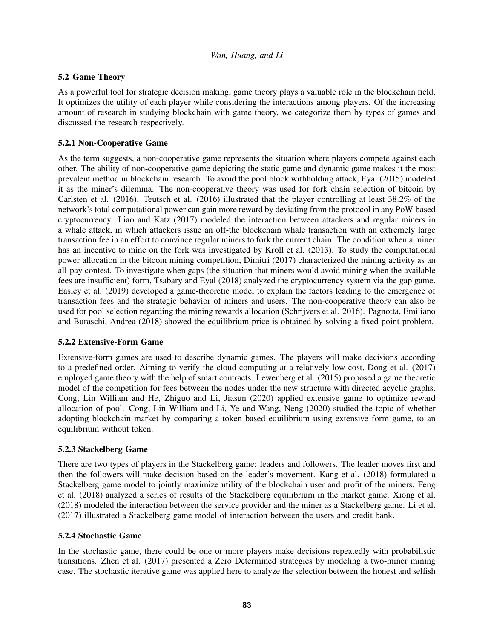# <span id="page-8-0"></span>5.2 Game Theory

As a powerful tool for strategic decision making, game theory plays a valuable role in the blockchain field. It optimizes the utility of each player while considering the interactions among players. Of the increasing amount of research in studying blockchain with game theory, we categorize them by types of games and discussed the research respectively.

# 5.2.1 Non-Cooperative Game

As the term suggests, a non-cooperative game represents the situation where players compete against each other. The ability of non-cooperative game depicting the static game and dynamic game makes it the most prevalent method in blockchain research. To avoid the pool block withholding attack, [Eyal \(2015\)](#page-11-15) modeled it as the miner's dilemma. The non-cooperative theory was used for fork chain selection of bitcoin by [Carlsten et al. \(2016\).](#page-11-16) [Teutsch et al. \(2016\)](#page-14-10) illustrated that the player controlling at least 38.2% of the network's total computational power can gain more reward by deviating from the protocol in any PoW-based cryptocurrency. [Liao and Katz \(2017\)](#page-13-21) modeled the interaction between attackers and regular miners in a whale attack, in which attackers issue an off-the blockchain whale transaction with an extremely large transaction fee in an effort to convince regular miners to fork the current chain. The condition when a miner has an incentive to mine on the fork was investigated by [Kroll et al. \(2013\).](#page-12-17) To study the computational power allocation in the bitcoin mining competition, [Dimitri \(2017\)](#page-11-17) characterized the mining activity as an all-pay contest. To investigate when gaps (the situation that miners would avoid mining when the available fees are insufficient) form, [Tsabary and Eyal \(2018\)](#page-14-11) analyzed the cryptocurrency system via the gap game. [Easley et al. \(2019\)](#page-11-18) developed a game-theoretic model to explain the factors leading to the emergence of transaction fees and the strategic behavior of miners and users. The non-cooperative theory can also be used for pool selection regarding the mining rewards allocation [\(Schrijvers et al. 2016\)](#page-13-22). [Pagnotta, Emiliano](#page-13-23) [and Buraschi, Andrea \(2018\)](#page-13-23) showed the equilibrium price is obtained by solving a fixed-point problem.

# 5.2.2 Extensive-Form Game

Extensive-form games are used to describe dynamic games. The players will make decisions according to a predefined order. Aiming to verify the cloud computing at a relatively low cost, [Dong et al. \(2017\)](#page-11-19) employed game theory with the help of smart contracts. [Lewenberg et al. \(2015\)](#page-12-18) proposed a game theoretic model of the competition for fees between the nodes under the new structure with directed acyclic graphs. [Cong, Lin William and He, Zhiguo and Li, Jiasun \(2020\)](#page-11-20) applied extensive game to optimize reward allocation of pool. [Cong, Lin William and Li, Ye and Wang, Neng \(2020\)](#page-11-21) studied the topic of whether adopting blockchain market by comparing a token based equilibrium using extensive form game, to an equilibrium without token.

# 5.2.3 Stackelberg Game

There are two types of players in the Stackelberg game: leaders and followers. The leader moves first and then the followers will make decision based on the leader's movement. [Kang et al. \(2018\)](#page-12-19) formulated a Stackelberg game model to jointly maximize utility of the blockchain user and profit of the miners. [Feng](#page-11-22) [et al. \(2018\)](#page-11-22) analyzed a series of results of the Stackelberg equilibrium in the market game. [Xiong et al.](#page-14-12) [\(2018\)](#page-14-12) modeled the interaction between the service provider and the miner as a Stackelberg game. [Li et al.](#page-12-11) [\(2017\)](#page-12-11) illustrated a Stackelberg game model of interaction between the users and credit bank.

# 5.2.4 Stochastic Game

In the stochastic game, there could be one or more players make decisions repeatedly with probabilistic transitions. [Zhen et al. \(2017\)](#page-14-13) presented a Zero Determined strategies by modeling a two-miner mining case. The stochastic iterative game was applied here to analyze the selection between the honest and selfish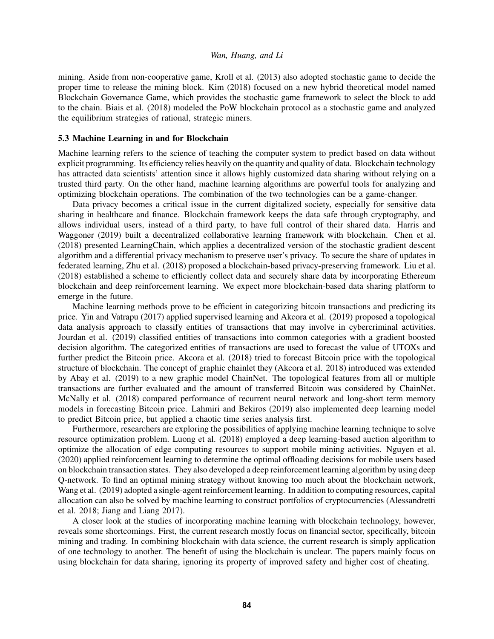mining. Aside from non-cooperative game, [Kroll et al. \(2013\)](#page-12-17) also adopted stochastic game to decide the proper time to release the mining block. [Kim \(2018\)](#page-12-20) focused on a new hybrid theoretical model named Blockchain Governance Game, which provides the stochastic game framework to select the block to add to the chain. [Biais et al. \(2018\)](#page-11-23) modeled the PoW blockchain protocol as a stochastic game and analyzed the equilibrium strategies of rational, strategic miners.

## <span id="page-9-0"></span>5.3 Machine Learning in and for Blockchain

Machine learning refers to the science of teaching the computer system to predict based on data without explicit programming. Its efficiency relies heavily on the quantity and quality of data. Blockchain technology has attracted data scientists' attention since it allows highly customized data sharing without relying on a trusted third party. On the other hand, machine learning algorithms are powerful tools for analyzing and optimizing blockchain operations. The combination of the two technologies can be a game-changer.

Data privacy becomes a critical issue in the current digitalized society, especially for sensitive data sharing in healthcare and finance. Blockchain framework keeps the data safe through cryptography, and allows individual users, instead of a third party, to have full control of their shared data. [Harris and](#page-12-21) [Waggoner \(2019\)](#page-12-21) built a decentralized collaborative learning framework with blockchain. [Chen et al.](#page-11-24) [\(2018\)](#page-11-24) presented LearningChain, which applies a decentralized version of the stochastic gradient descent algorithm and a differential privacy mechanism to preserve user's privacy. To secure the share of updates in federated learning, [Zhu et al. \(2018\)](#page-14-14) proposed a blockchain-based privacy-preserving framework. [Liu et al.](#page-13-24) [\(2018\)](#page-13-24) established a scheme to efficiently collect data and securely share data by incorporating Ethereum blockchain and deep reinforcement learning. We expect more blockchain-based data sharing platform to emerge in the future.

Machine learning methods prove to be efficient in categorizing bitcoin transactions and predicting its price. [Yin and Vatrapu \(2017\)](#page-14-15) applied supervised learning and [Akcora et al. \(2019\)](#page-10-3) proposed a topological data analysis approach to classify entities of transactions that may involve in cybercriminal activities. [Jourdan et al. \(2019\)](#page-12-22) classified entities of transactions into common categories with a gradient boosted decision algorithm. The categorized entities of transactions are used to forecast the value of UTOXs and further predict the Bitcoin price. [Akcora et al. \(2018\)](#page-10-4) tried to forecast Bitcoin price with the topological structure of blockchain. The concept of graphic chainlet they [\(Akcora et al. 2018\)](#page-10-4) introduced was extended by [Abay et al. \(2019\)](#page-10-5) to a new graphic model ChainNet. The topological features from all or multiple transactions are further evaluated and the amount of transferred Bitcoin was considered by ChainNet. [McNally et al. \(2018\)](#page-13-25) compared performance of recurrent neural network and long-short term memory models in forecasting Bitcoin price. [Lahmiri and Bekiros \(2019\)](#page-12-23) also implemented deep learning model to predict Bitcoin price, but applied a chaotic time series analysis first.

Furthermore, researchers are exploring the possibilities of applying machine learning technique to solve resource optimization problem. [Luong et al. \(2018\)](#page-13-26) employed a deep learning-based auction algorithm to optimize the allocation of edge computing resources to support mobile mining activities. [Nguyen et al.](#page-13-27) [\(2020\)](#page-13-27) applied reinforcement learning to determine the optimal offloading decisions for mobile users based on blockchain transaction states. They also developed a deep reinforcement learning algorithm by using deep Q-network. To find an optimal mining strategy without knowing too much about the blockchain network, [Wang et al. \(2019\)](#page-14-16) adopted a single-agent reinforcement learning. In addition to computing resources, capital allocation can also be solved by machine learning to construct portfolios of cryptocurrencies [\(Alessandretti](#page-10-6) [et al. 2018;](#page-10-6) [Jiang and Liang 2017\)](#page-12-24).

A closer look at the studies of incorporating machine learning with blockchain technology, however, reveals some shortcomings. First, the current research mostly focus on financial sector, specifically, bitcoin mining and trading. In combining blockchain with data science, the current research is simply application of one technology to another. The benefit of using the blockchain is unclear. The papers mainly focus on using blockchain for data sharing, ignoring its property of improved safety and higher cost of cheating.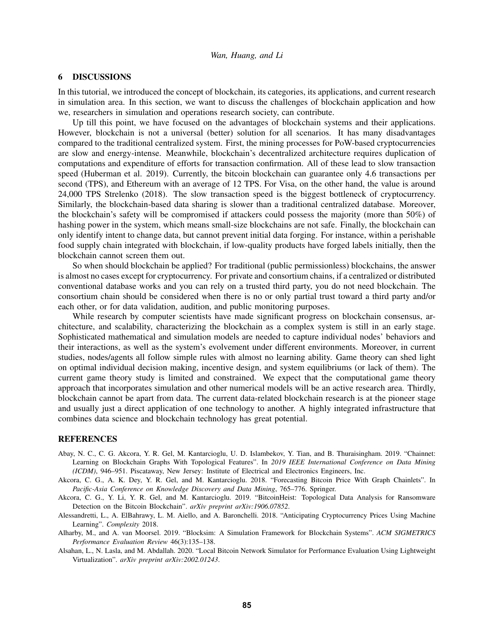#### <span id="page-10-0"></span>6 DISCUSSIONS

In this tutorial, we introduced the concept of blockchain, its categories, its applications, and current research in simulation area. In this section, we want to discuss the challenges of blockchain application and how we, researchers in simulation and operations research society, can contribute.

Up till this point, we have focused on the advantages of blockchain systems and their applications. However, blockchain is not a universal (better) solution for all scenarios. It has many disadvantages compared to the traditional centralized system. First, the mining processes for PoW-based cryptocurrencies are slow and energy-intense. Meanwhile, blockchain's decentralized architecture requires duplication of computations and expenditure of efforts for transaction confirmation. All of these lead to slow transaction speed [\(Huberman et al. 2019\)](#page-12-25). Currently, the bitcoin blockchain can guarantee only 4.6 transactions per second (TPS), and Ethereum with an average of 12 TPS. For Visa, on the other hand, the value is around 24,000 TPS [Strelenko \(2018\).](#page-13-28) The slow transaction speed is the biggest bottleneck of cryptocurrency. Similarly, the blockchain-based data sharing is slower than a traditional centralized database. Moreover, the blockchain's safety will be compromised if attackers could possess the majority (more than 50%) of hashing power in the system, which means small-size blockchains are not safe. Finally, the blockchain can only identify intent to change data, but cannot prevent initial data forging. For instance, within a perishable food supply chain integrated with blockchain, if low-quality products have forged labels initially, then the blockchain cannot screen them out.

So when should blockchain be applied? For traditional (public permissionless) blockchains, the answer is almost no cases except for cryptocurrency. For private and consortium chains, if a centralized or distributed conventional database works and you can rely on a trusted third party, you do not need blockchain. The consortium chain should be considered when there is no or only partial trust toward a third party and/or each other, or for data validation, audition, and public monitoring purposes.

While research by computer scientists have made significant progress on blockchain consensus, architecture, and scalability, characterizing the blockchain as a complex system is still in an early stage. Sophisticated mathematical and simulation models are needed to capture individual nodes' behaviors and their interactions, as well as the system's evolvement under different environments. Moreover, in current studies, nodes/agents all follow simple rules with almost no learning ability. Game theory can shed light on optimal individual decision making, incentive design, and system equilibriums (or lack of them). The current game theory study is limited and constrained. We expect that the computational game theory approach that incorporates simulation and other numerical models will be an active research area. Thirdly, blockchain cannot be apart from data. The current data-related blockchain research is at the pioneer stage and usually just a direct application of one technology to another. A highly integrated infrastructure that combines data science and blockchain technology has great potential.

## **REFERENCES**

- <span id="page-10-5"></span>Abay, N. C., C. G. Akcora, Y. R. Gel, M. Kantarcioglu, U. D. Islambekov, Y. Tian, and B. Thuraisingham. 2019. "Chainnet: Learning on Blockchain Graphs With Topological Features". In *2019 IEEE International Conference on Data Mining (ICDM)*, 946–951. Piscataway, New Jersey: Institute of Electrical and Electronics Engineers, Inc.
- <span id="page-10-4"></span>Akcora, C. G., A. K. Dey, Y. R. Gel, and M. Kantarcioglu. 2018. "Forecasting Bitcoin Price With Graph Chainlets". In *Pacific-Asia Conference on Knowledge Discovery and Data Mining*, 765–776. Springer.
- <span id="page-10-3"></span>Akcora, C. G., Y. Li, Y. R. Gel, and M. Kantarcioglu. 2019. "BitcoinHeist: Topological Data Analysis for Ransomware Detection on the Bitcoin Blockchain". *arXiv preprint arXiv:1906.07852*.
- <span id="page-10-6"></span>Alessandretti, L., A. ElBahrawy, L. M. Aiello, and A. Baronchelli. 2018. "Anticipating Cryptocurrency Prices Using Machine Learning". *Complexity* 2018.
- <span id="page-10-1"></span>Alharby, M., and A. van Moorsel. 2019. "Blocksim: A Simulation Framework for Blockchain Systems". *ACM SIGMETRICS Performance Evaluation Review* 46(3):135–138.
- <span id="page-10-2"></span>Alsahan, L., N. Lasla, and M. Abdallah. 2020. "Local Bitcoin Network Simulator for Performance Evaluation Using Lightweight Virtualization". *arXiv preprint arXiv:2002.01243*.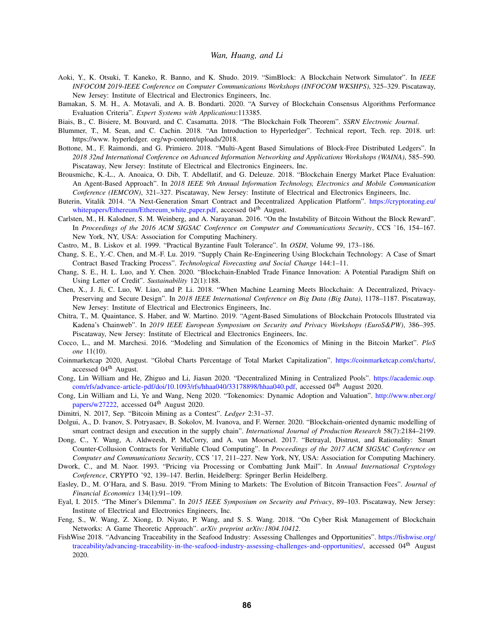- <span id="page-11-10"></span>Aoki, Y., K. Otsuki, T. Kaneko, R. Banno, and K. Shudo. 2019. "SimBlock: A Blockchain Network Simulator". In *IEEE INFOCOM 2019-IEEE Conference on Computer Communications Workshops (INFOCOM WKSHPS)*, 325–329. Piscataway, New Jersey: Institute of Electrical and Electronics Engineers, Inc.
- <span id="page-11-2"></span>Bamakan, S. M. H., A. Motavali, and A. B. Bondarti. 2020. "A Survey of Blockchain Consensus Algorithms Performance Evaluation Criteria". *Expert Systems with Applications*:113385.
- <span id="page-11-23"></span>Biais, B., C. Bisiere, M. Bouvard, and C. Casamatta. 2018. "The Blockchain Folk Theorem". *SSRN Electronic Journal*.
- <span id="page-11-8"></span>Blummer, T., M. Sean, and C. Cachin. 2018. "An Introduction to Hyperledger". Technical report, Tech. rep. 2018. url: https://www. hyperledger. org/wp-content/uploads/2018.
- <span id="page-11-14"></span>Bottone, M., F. Raimondi, and G. Primiero. 2018. "Multi-Agent Based Simulations of Block-Free Distributed Ledgers". In *2018 32nd International Conference on Advanced Information Networking and Applications Workshops (WAINA)*, 585–590. Piscataway, New Jersey: Institute of Electrical and Electronics Engineers, Inc.
- <span id="page-11-13"></span>Brousmichc, K.-L., A. Anoaica, O. Dib, T. Abdellatif, and G. Deleuze. 2018. "Blockchain Energy Market Place Evaluation: An Agent-Based Approach". In *2018 IEEE 9th Annual Information Technology, Electronics and Mobile Communication Conference (IEMCON)*, 321–327. Piscataway, New Jersey: Institute of Electrical and Electronics Engineers, Inc.
- <span id="page-11-3"></span>Buterin, Vitalik 2014. "A Next-Generation Smart Contract and Decentralized Application Platform". [https://cryptorating.eu/](https://cryptorating.eu/whitepapers/Ethereum/Ethereum_white_paper.pdf) [whitepapers/Ethereum/Ethereum](https://cryptorating.eu/whitepapers/Ethereum/Ethereum_white_paper.pdf)\_white\_paper.pdf, accessed 04<sup>th</sup> August.
- <span id="page-11-16"></span>Carlsten, M., H. Kalodner, S. M. Weinberg, and A. Narayanan. 2016. "On the Instability of Bitcoin Without the Block Reward". In *Proceedings of the 2016 ACM SIGSAC Conference on Computer and Communications Security*, CCS '16, 154–167. New York, NY, USA: Association for Computing Machinery.
- <span id="page-11-0"></span>Castro, M., B. Liskov et al. 1999. "Practical Byzantine Fault Tolerance". In *OSDI*, Volume 99, 173–186.
- <span id="page-11-6"></span>Chang, S. E., Y.-C. Chen, and M.-F. Lu. 2019. "Supply Chain Re-Engineering Using Blockchain Technology: A Case of Smart Contract Based Tracking Process". *Technological Forecasting and Social Change* 144:1–11.
- <span id="page-11-9"></span>Chang, S. E., H. L. Luo, and Y. Chen. 2020. "Blockchain-Enabled Trade Finance Innovation: A Potential Paradigm Shift on Using Letter of Credit". *Sustainability* 12(1):188.
- <span id="page-11-24"></span>Chen, X., J. Ji, C. Luo, W. Liao, and P. Li. 2018. "When Machine Learning Meets Blockchain: A Decentralized, Privacy-Preserving and Secure Design". In *2018 IEEE International Conference on Big Data (Big Data)*, 1178–1187. Piscataway, New Jersey: Institute of Electrical and Electronics Engineers, Inc.
- <span id="page-11-12"></span>Chitra, T., M. Quaintance, S. Haber, and W. Martino. 2019. "Agent-Based Simulations of Blockchain Protocols Illustrated via Kadena's Chainweb". In *2019 IEEE European Symposium on Security and Privacy Workshops (EuroS&PW)*, 386–395. Piscataway, New Jersey: Institute of Electrical and Electronics Engineers, Inc.
- <span id="page-11-11"></span>Cocco, L., and M. Marchesi. 2016. "Modeling and Simulation of the Economics of Mining in the Bitcoin Market". *PloS one* 11(10).
- <span id="page-11-4"></span>Coinmarketcap 2020, August. "Global Charts Percentage of Total Market Capitalization". [https://coinmarketcap.com/charts/,](https://coinmarketcap.com/charts/) accessed 04<sup>th</sup> August.
- <span id="page-11-20"></span>Cong, Lin William and He, Zhiguo and Li, Jiasun 2020. "Decentralized Mining in Centralized Pools". [https://academic.oup.](https://academic.oup.com/rfs/advance-article-pdf/doi/10.1093/rfs/hhaa040/33178898/hhaa040.pdf) [com/rfs/advance-article-pdf/doi/10.1093/rfs/hhaa040/33178898/hhaa040.pdf,](https://academic.oup.com/rfs/advance-article-pdf/doi/10.1093/rfs/hhaa040/33178898/hhaa040.pdf) accessed 04th August 2020.
- <span id="page-11-21"></span>Cong, Lin William and Li, Ye and Wang, Neng 2020. "Tokenomics: Dynamic Adoption and Valuation". [http://www.nber.org/](http://www.nber.org/papers/w27222) [papers/w27222,](http://www.nber.org/papers/w27222) accessed 04<sup>th</sup> August 2020.
- <span id="page-11-17"></span>Dimitri, N. 2017, Sep. "Bitcoin Mining as a Contest". *Ledger* 2:31–37.
- <span id="page-11-5"></span>Dolgui, A., D. Ivanov, S. Potryasaev, B. Sokolov, M. Ivanova, and F. Werner. 2020. "Blockchain-oriented dynamic modelling of smart contract design and execution in the supply chain". *International Journal of Production Research* 58(7):2184–2199.
- <span id="page-11-19"></span>Dong, C., Y. Wang, A. Aldweesh, P. McCorry, and A. van Moorsel. 2017. "Betrayal, Distrust, and Rationality: Smart Counter-Collusion Contracts for Verifiable Cloud Computing". In *Proceedings of the 2017 ACM SIGSAC Conference on Computer and Communications Security*, CCS '17, 211–227. New York, NY, USA: Association for Computing Machinery.
- <span id="page-11-1"></span>Dwork, C., and M. Naor. 1993. "Pricing via Processing or Combatting Junk Mail". In *Annual International Cryptology Conference*, CRYPTO '92, 139–147. Berlin, Heidelberg: Springer Berlin Heidelberg.
- <span id="page-11-18"></span>Easley, D., M. O'Hara, and S. Basu. 2019. "From Mining to Markets: The Evolution of Bitcoin Transaction Fees". *Journal of Financial Economics* 134(1):91–109.
- <span id="page-11-15"></span>Eyal, I. 2015. "The Miner's Dilemma". In *2015 IEEE Symposium on Security and Privacy*, 89–103. Piscataway, New Jersey: Institute of Electrical and Electronics Engineers, Inc.
- <span id="page-11-22"></span>Feng, S., W. Wang, Z. Xiong, D. Niyato, P. Wang, and S. S. Wang. 2018. "On Cyber Risk Management of Blockchain Networks: A Game Theoretic Approach". *arXiv preprint arXiv:1804.10412*.
- <span id="page-11-7"></span>FishWise 2018. "Advancing Traceability in the Seafood Industry: Assessing Challenges and Opportunities". [https://fishwise.org/](https://fishwise.org/traceability/advancing-traceability-in-the-seafood-industry-assessing-challenges-and-opportunities/) [traceability/advancing-traceability-in-the-seafood-industry-assessing-challenges-and-opportunities/,](https://fishwise.org/traceability/advancing-traceability-in-the-seafood-industry-assessing-challenges-and-opportunities/) accessed 04<sup>th</sup> August 2020.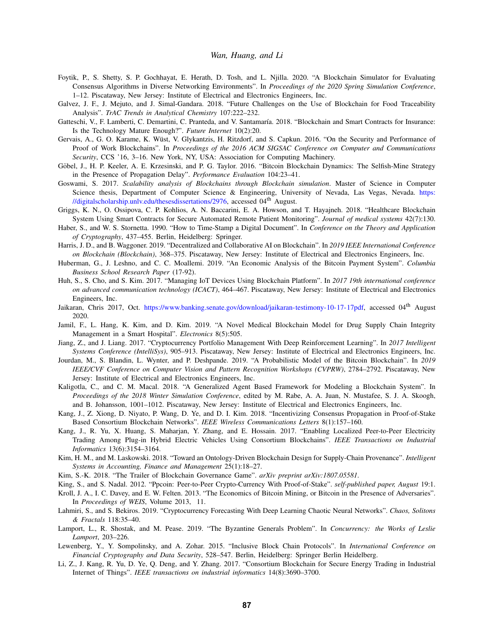- <span id="page-12-14"></span>Foytik, P., S. Shetty, S. P. Gochhayat, E. Herath, D. Tosh, and L. Njilla. 2020. "A Blockchain Simulator for Evaluating Consensus Algorithms in Diverse Networking Environments". In *Proceedings of the 2020 Spring Simulation Conference*, 1–12. Piscataway, New Jersey: Institute of Electrical and Electronics Engineers, Inc.
- <span id="page-12-6"></span>Galvez, J. F., J. Mejuto, and J. Simal-Gandara. 2018. "Future Challenges on the Use of Blockchain for Food Traceability Analysis". *TrAC Trends in Analytical Chemistry* 107:222–232.
- <span id="page-12-7"></span>Gatteschi, V., F. Lamberti, C. Demartini, C. Pranteda, and V. Santamaría. 2018. "Blockchain and Smart Contracts for Insurance: Is the Technology Mature Enough?". *Future Internet* 10(2):20.
- <span id="page-12-12"></span>Gervais, A., G. O. Karame, K. Wüst, V. Glykantzis, H. Ritzdorf, and S. Capkun. 2016. "On the Security and Performance of Proof of Work Blockchains". In *Proceedings of the 2016 ACM SIGSAC Conference on Computer and Communications Security*, CCS '16, 3–16. New York, NY, USA: Association for Computing Machinery.
- <span id="page-12-13"></span>Göbel, J., H. P. Keeler, A. E. Krzesinski, and P. G. Taylor. 2016. "Bitcoin Blockchain Dynamics: The Selfish-Mine Strategy in the Presence of Propagation Delay". *Performance Evaluation* 104:23–41.
- <span id="page-12-16"></span>Goswami, S. 2017. *Scalability analysis of Blockchains through Blockchain simulation*. Master of Science in Computer Science thesis, Department of Computer Science & Engineering, University of Nevada, Las Vegas, Nevada. [https:](https://digitalscholarship.unlv.edu/thesesdissertations/2976) [//digitalscholarship.unlv.edu/thesesdissertations/2976,](https://digitalscholarship.unlv.edu/thesesdissertations/2976) accessed 04<sup>th</sup> August.
- <span id="page-12-9"></span>Griggs, K. N., O. Ossipova, C. P. Kohlios, A. N. Baccarini, E. A. Howson, and T. Hayajneh. 2018. "Healthcare Blockchain System Using Smart Contracts for Secure Automated Remote Patient Monitoring". *Journal of medical systems* 42(7):130.
- <span id="page-12-0"></span>Haber, S., and W. S. Stornetta. 1990. "How to Time-Stamp a Digital Document". In *Conference on the Theory and Application of Cryptography*, 437–455. Berlin, Heidelberg: Springer.
- <span id="page-12-21"></span>Harris, J. D., and B. Waggoner. 2019. "Decentralized and Collaborative AI on Blockchain". In *2019 IEEE International Conference on Blockchain (Blockchain)*, 368–375. Piscataway, New Jersey: Institute of Electrical and Electronics Engineers, Inc.
- <span id="page-12-25"></span>Huberman, G., J. Leshno, and C. C. Moallemi. 2019. "An Economic Analysis of the Bitcoin Payment System". *Columbia Business School Research Paper* (17-92).
- <span id="page-12-4"></span>Huh, S., S. Cho, and S. Kim. 2017. "Managing IoT Devices Using Blockchain Platform". In *2017 19th international conference on advanced communication technology (ICACT)*, 464–467. Piscataway, New Jersey: Institute of Electrical and Electronics Engineers, Inc.
- <span id="page-12-1"></span>Jaikaran, Chris 2017, Oct. [https://www.banking.senate.gov/download/jaikaran-testimony-10-17-17pdf,](https://www.banking.senate.gov/download/jaikaran-testimony-10-17-17pdf) accessed 04<sup>th</sup> August 2020.
- <span id="page-12-8"></span>Jamil, F., L. Hang, K. Kim, and D. Kim. 2019. "A Novel Medical Blockchain Model for Drug Supply Chain Integrity Management in a Smart Hospital". *Electronics* 8(5):505.
- <span id="page-12-24"></span>Jiang, Z., and J. Liang. 2017. "Cryptocurrency Portfolio Management With Deep Reinforcement Learning". In *2017 Intelligent Systems Conference (IntelliSys)*, 905–913. Piscataway, New Jersey: Institute of Electrical and Electronics Engineers, Inc.
- <span id="page-12-22"></span>Jourdan, M., S. Blandin, L. Wynter, and P. Deshpande. 2019. "A Probabilistic Model of the Bitcoin Blockchain". In *2019 IEEE/CVF Conference on Computer Vision and Pattern Recognition Workshops (CVPRW)*, 2784–2792. Piscataway, New Jersey: Institute of Electrical and Electronics Engineers, Inc.
- <span id="page-12-15"></span>Kaligotla, C., and C. M. Macal. 2018. "A Generalized Agent Based Framework for Modeling a Blockchain System". In *Proceedings of the 2018 Winter Simulation Conference*, edited by M. Rabe, A. A. Juan, N. Mustafee, S. J. A. Skoogh, and B. Johansson, 1001–1012. Piscataway, New Jersey: Institute of Electrical and Electronics Engineers, Inc.
- <span id="page-12-19"></span>Kang, J., Z. Xiong, D. Niyato, P. Wang, D. Ye, and D. I. Kim. 2018. "Incentivizing Consensus Propagation in Proof-of-Stake Based Consortium Blockchain Networks". *IEEE Wireless Communications Letters* 8(1):157–160.
- <span id="page-12-10"></span>Kang, J., R. Yu, X. Huang, S. Maharjan, Y. Zhang, and E. Hossain. 2017. "Enabling Localized Peer-to-Peer Electricity Trading Among Plug-in Hybrid Electric Vehicles Using Consortium Blockchains". *IEEE Transactions on Industrial Informatics* 13(6):3154–3164.
- <span id="page-12-5"></span>Kim, H. M., and M. Laskowski. 2018. "Toward an Ontology-Driven Blockchain Design for Supply-Chain Provenance". *Intelligent Systems in Accounting, Finance and Management* 25(1):18–27.
- <span id="page-12-20"></span>Kim, S.-K. 2018. "The Trailer of Blockchain Governance Game". *arXiv preprint arXiv:1807.05581*.
- <span id="page-12-3"></span>King, S., and S. Nadal. 2012. "Ppcoin: Peer-to-Peer Crypto-Currency With Proof-of-Stake". *self-published paper, August* 19:1.
- <span id="page-12-17"></span>Kroll, J. A., I. C. Davey, and E. W. Felten. 2013. "The Economics of Bitcoin Mining, or Bitcoin in the Presence of Adversaries". In *Proceedings of WEIS*, Volume 2013, 11.
- <span id="page-12-23"></span>Lahmiri, S., and S. Bekiros. 2019. "Cryptocurrency Forecasting With Deep Learning Chaotic Neural Networks". *Chaos, Solitons & Fractals* 118:35–40.
- <span id="page-12-2"></span>Lamport, L., R. Shostak, and M. Pease. 2019. "The Byzantine Generals Problem". In *Concurrency: the Works of Leslie Lamport*, 203–226.
- <span id="page-12-18"></span>Lewenberg, Y., Y. Sompolinsky, and A. Zohar. 2015. "Inclusive Block Chain Protocols". In *International Conference on Financial Cryptography and Data Security*, 528–547. Berlin, Heidelberg: Springer Berlin Heidelberg.
- <span id="page-12-11"></span>Li, Z., J. Kang, R. Yu, D. Ye, Q. Deng, and Y. Zhang. 2017. "Consortium Blockchain for Secure Energy Trading in Industrial Internet of Things". *IEEE transactions on industrial informatics* 14(8):3690–3700.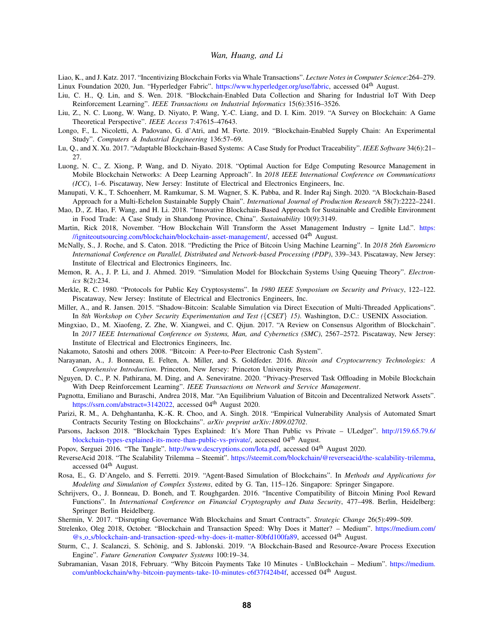<span id="page-13-21"></span><span id="page-13-4"></span>Liao, K., and J. Katz. 2017. "Incentivizing Blockchain Forks via Whale Transactions". *Lecture Notes in Computer Science*:264–279. Linux Foundation 2020, Jun. "Hyperledger Fabric". [https://www.hyperledger.org/use/fabric,](https://www.hyperledger.org/use/fabric) accessed 04th August.

- <span id="page-13-24"></span>Liu, C. H., Q. Lin, and S. Wen. 2018. "Blockchain-Enabled Data Collection and Sharing for Industrial IoT With Deep Reinforcement Learning". *IEEE Transactions on Industrial Informatics* 15(6):3516–3526.
- <span id="page-13-13"></span>Liu, Z., N. C. Luong, W. Wang, D. Niyato, P. Wang, Y.-C. Liang, and D. I. Kim. 2019. "A Survey on Blockchain: A Game Theoretical Perspective". *IEEE Access* 7:47615–47643.
- <span id="page-13-20"></span>Longo, F., L. Nicoletti, A. Padovano, G. d'Atri, and M. Forte. 2019. "Blockchain-Enabled Supply Chain: An Experimental Study". *Computers & Industrial Engineering* 136:57–69.
- <span id="page-13-12"></span>Lu, Q., and X. Xu. 2017. "Adaptable Blockchain-Based Systems: A Case Study for Product Traceability". *IEEE Software* 34(6):21– 27.
- <span id="page-13-26"></span>Luong, N. C., Z. Xiong, P. Wang, and D. Niyato. 2018. "Optimal Auction for Edge Computing Resource Management in Mobile Blockchain Networks: A Deep Learning Approach". In *2018 IEEE International Conference on Communications (ICC)*, 1–6. Piscataway, New Jersey: Institute of Electrical and Electronics Engineers, Inc.
- <span id="page-13-14"></span>Manupati, V. K., T. Schoenherr, M. Ramkumar, S. M. Wagner, S. K. Pabba, and R. Inder Raj Singh. 2020. "A Blockchain-Based Approach for a Multi-Echelon Sustainable Supply Chain". *International Journal of Production Research* 58(7):2222–2241.
- <span id="page-13-15"></span>Mao, D., Z. Hao, F. Wang, and H. Li. 2018. "Innovative Blockchain-Based Approach for Sustainable and Credible Environment in Food Trade: A Case Study in Shandong Province, China". *Sustainability* 10(9):3149.
- <span id="page-13-5"></span>Martin, Rick 2018, November. "How Blockchain Will Transform the Asset Management Industry – Ignite Ltd.". [https:](https://igniteoutsourcing.com/blockchain/blockchain-asset-management/) [//igniteoutsourcing.com/blockchain/blockchain-asset-management/,](https://igniteoutsourcing.com/blockchain/blockchain-asset-management/) accessed  $04<sup>th</sup>$  August.
- <span id="page-13-25"></span>McNally, S., J. Roche, and S. Caton. 2018. "Predicting the Price of Bitcoin Using Machine Learning". In *2018 26th Euromicro International Conference on Parallel, Distributed and Network-based Processing (PDP)*, 339–343. Piscataway, New Jersey: Institute of Electrical and Electronics Engineers, Inc.
- <span id="page-13-16"></span>Memon, R. A., J. P. Li, and J. Ahmed. 2019. "Simulation Model for Blockchain Systems Using Queuing Theory". *Electronics* 8(2):234.
- <span id="page-13-1"></span>Merkle, R. C. 1980. "Protocols for Public Key Cryptosystems". In *1980 IEEE Symposium on Security and Privacy*, 122–122. Piscataway, New Jersey: Institute of Electrical and Electronics Engineers, Inc.
- <span id="page-13-17"></span>Miller, A., and R. Jansen. 2015. "Shadow-Bitcoin: Scalable Simulation via Direct Execution of Multi-Threaded Applications". In *8th Workshop on Cyber Security Experimentation and Test (*{*CSET*} *15)*. Washington, D.C.: USENIX Association.
- <span id="page-13-2"></span>Mingxiao, D., M. Xiaofeng, Z. Zhe, W. Xiangwei, and C. Qijun. 2017. "A Review on Consensus Algorithm of Blockchain". In *2017 IEEE International Conference on Systems, Man, and Cybernetics (SMC)*, 2567–2572. Piscataway, New Jersey: Institute of Electrical and Electronics Engineers, Inc.
- <span id="page-13-0"></span>Nakamoto, Satoshi and others 2008. "Bitcoin: A Peer-to-Peer Electronic Cash System".
- <span id="page-13-7"></span>Narayanan, A., J. Bonneau, E. Felten, A. Miller, and S. Goldfeder. 2016. *Bitcoin and Cryptocurrency Technologies: A Comprehensive Introduction*. Princeton, New Jersey: Princeton University Press.
- <span id="page-13-27"></span>Nguyen, D. C., P. N. Pathirana, M. Ding, and A. Seneviratne. 2020. "Privacy-Preserved Task Offloading in Mobile Blockchain With Deep Reinforcement Learning". *IEEE Transactions on Network and Service Management*.
- <span id="page-13-23"></span>Pagnotta, Emiliano and Buraschi, Andrea 2018, Mar. "An Equilibrium Valuation of Bitcoin and Decentralized Network Assets". [https://ssrn.com/abstract=3142022,](https://ssrn.com/abstract=3142022 ) accessed 04<sup>th</sup> August 2020.
- <span id="page-13-10"></span>Parizi, R. M., A. Dehghantanha, K.-K. R. Choo, and A. Singh. 2018. "Empirical Vulnerability Analysis of Automated Smart Contracts Security Testing on Blockchains". *arXiv preprint arXiv:1809.02702*.
- <span id="page-13-3"></span>Parsons, Jackson 2018. "Blockchain Types Explained: It's More Than Public vs Private – ULedger". [http://159.65.79.6/](http://159.65.79.6/blockchain-types-explained-its-more-than-public-vs-private/) [blockchain-types-explained-its-more-than-public-vs-private/,](http://159.65.79.6/blockchain-types-explained-its-more-than-public-vs-private/) accessed 04<sup>th</sup> August.

<span id="page-13-19"></span>Popov, Serguei 2016. "The Tangle". [http://www.descryptions.com/Iota.pdf,](http://www.descryptions.com/Iota.pdf) accessed 04<sup>th</sup> August 2020.

- <span id="page-13-6"></span>ReverseAcid 2018. "The Scalability Trilemma – Steemit". [https://steemit.com/blockchain/@reverseacid/the-scalability-trilemma,](https://steemit.com/blockchain/@reverseacid/the-scalability-trilemma) accessed 04<sup>th</sup> August.
- <span id="page-13-18"></span>Rosa, E., G. D'Angelo, and S. Ferretti. 2019. "Agent-Based Simulation of Blockchains". In *Methods and Applications for Modeling and Simulation of Complex Systems*, edited by G. Tan, 115–126. Singapore: Springer Singapore.
- <span id="page-13-22"></span>Schrijvers, O., J. Bonneau, D. Boneh, and T. Roughgarden. 2016. "Incentive Compatibility of Bitcoin Mining Pool Reward Functions". In *International Conference on Financial Cryptography and Data Security*, 477–498. Berlin, Heidelberg: Springer Berlin Heidelberg.
- <span id="page-13-9"></span>Shermin, V. 2017. "Disrupting Governance With Blockchains and Smart Contracts". *Strategic Change* 26(5):499–509.
- <span id="page-13-28"></span>Strelenko, Oleg 2018, October. "Blockchain and Transaction Speed: Why Does it Matter? – Medium". [https://medium.com/](https://medium.com/@s_o_s/blockchain-and-transaction-speed-why-does-it-matter-80bfd100fa89) @s o [s/blockchain-and-transaction-speed-why-does-it-matter-80bfd100fa89,](https://medium.com/@s_o_s/blockchain-and-transaction-speed-why-does-it-matter-80bfd100fa89) accessed 04th August.
- <span id="page-13-11"></span>Sturm, C., J. Scalanczi, S. Schönig, and S. Jablonski. 2019. "A Blockchain-Based and Resource-Aware Process Execution Engine". *Future Generation Computer Systems* 100:19–34.
- <span id="page-13-8"></span>Subramanian, Vasan 2018, February. "Why Bitcoin Payments Take 10 Minutes - UnBlockchain – Medium". [https://medium.](https://medium.com/unblockchain/why-bitcoin-payments-take-10-minutes-c6f37f424b4f) [com/unblockchain/why-bitcoin-payments-take-10-minutes-c6f37f424b4f,](https://medium.com/unblockchain/why-bitcoin-payments-take-10-minutes-c6f37f424b4f) accessed 04<sup>th</sup> August.